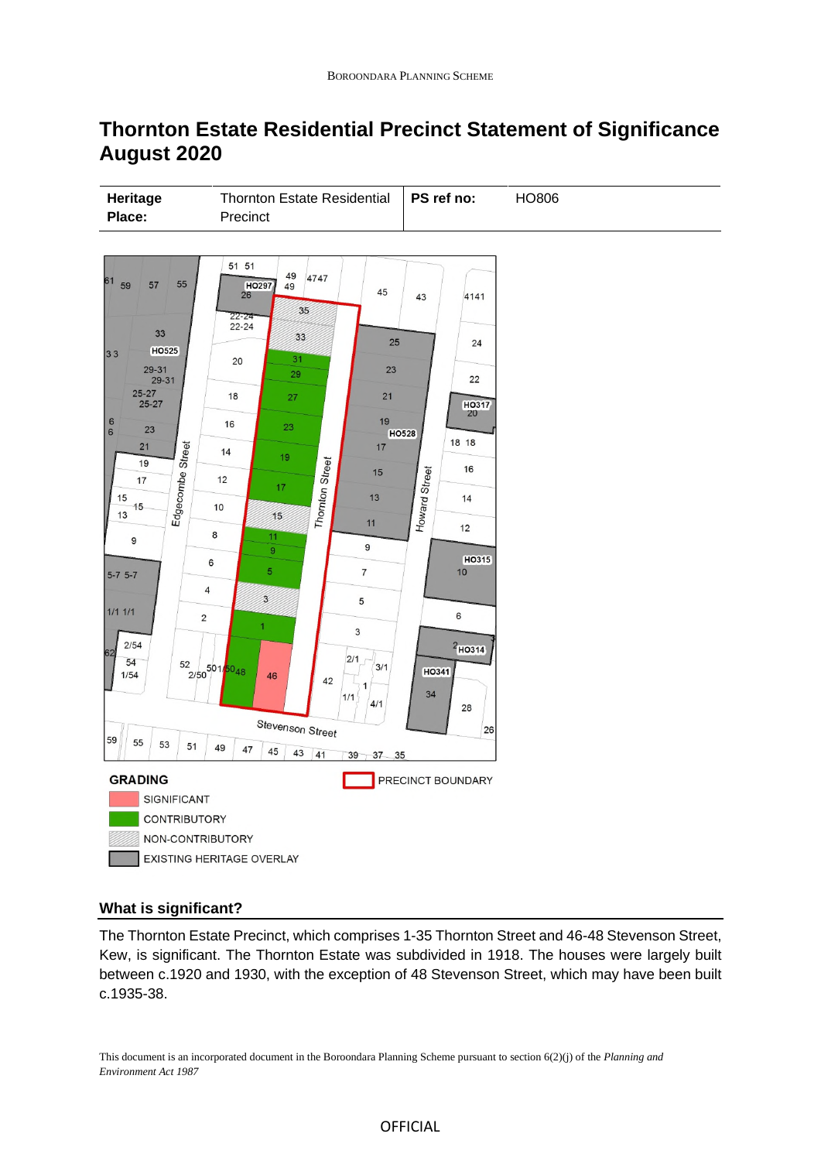# **Thornton Estate Residential Precinct Statement of Significance August 2020**



## **What is significant?**

The Thornton Estate Precinct, which comprises 1-35 Thornton Street and 46-48 Stevenson Street, Kew, is significant. The Thornton Estate was subdivided in 1918. The houses were largely built between c.1920 and 1930, with the exception of 48 Stevenson Street, which may have been built c.1935-38.

This document is an incorporated document in the Boroondara Planning Scheme pursuant to section 6(2)(j) of the *Planning and Environment Act 1987*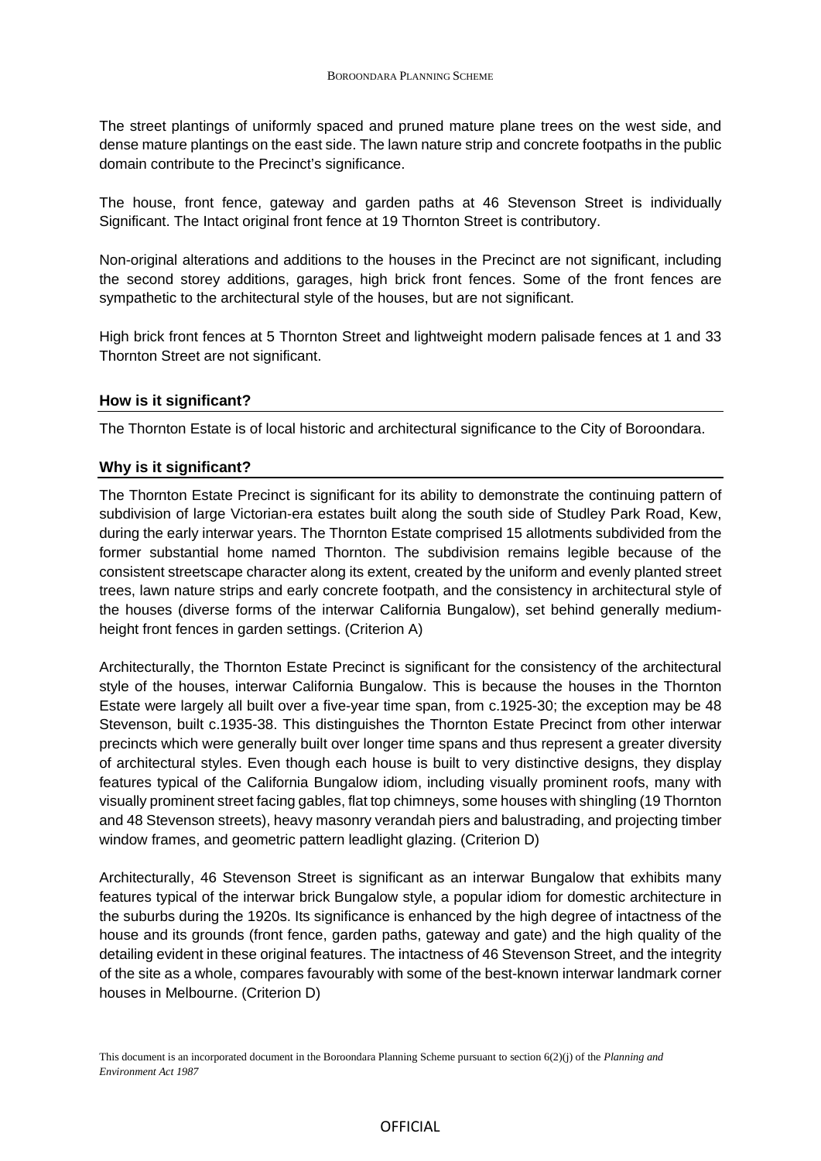The street plantings of uniformly spaced and pruned mature plane trees on the west side, and dense mature plantings on the east side. The lawn nature strip and concrete footpaths in the public domain contribute to the Precinct's significance.

The house, front fence, gateway and garden paths at 46 Stevenson Street is individually Significant. The Intact original front fence at 19 Thornton Street is contributory.

Non-original alterations and additions to the houses in the Precinct are not significant, including the second storey additions, garages, high brick front fences. Some of the front fences are sympathetic to the architectural style of the houses, but are not significant.

High brick front fences at 5 Thornton Street and lightweight modern palisade fences at 1 and 33 Thornton Street are not significant.

### **How is it significant?**

The Thornton Estate is of local historic and architectural significance to the City of Boroondara.

### **Why is it significant?**

The Thornton Estate Precinct is significant for its ability to demonstrate the continuing pattern of subdivision of large Victorian-era estates built along the south side of Studley Park Road, Kew, during the early interwar years. The Thornton Estate comprised 15 allotments subdivided from the former substantial home named Thornton. The subdivision remains legible because of the consistent streetscape character along its extent, created by the uniform and evenly planted street trees, lawn nature strips and early concrete footpath, and the consistency in architectural style of the houses (diverse forms of the interwar California Bungalow), set behind generally mediumheight front fences in garden settings. (Criterion A)

Architecturally, the Thornton Estate Precinct is significant for the consistency of the architectural style of the houses, interwar California Bungalow. This is because the houses in the Thornton Estate were largely all built over a five-year time span, from c.1925-30; the exception may be 48 Stevenson, built c.1935-38. This distinguishes the Thornton Estate Precinct from other interwar precincts which were generally built over longer time spans and thus represent a greater diversity of architectural styles. Even though each house is built to very distinctive designs, they display features typical of the California Bungalow idiom, including visually prominent roofs, many with visually prominent street facing gables, flat top chimneys, some houses with shingling (19 Thornton and 48 Stevenson streets), heavy masonry verandah piers and balustrading, and projecting timber window frames, and geometric pattern leadlight glazing. (Criterion D)

Architecturally, 46 Stevenson Street is significant as an interwar Bungalow that exhibits many features typical of the interwar brick Bungalow style, a popular idiom for domestic architecture in the suburbs during the 1920s. Its significance is enhanced by the high degree of intactness of the house and its grounds (front fence, garden paths, gateway and gate) and the high quality of the detailing evident in these original features. The intactness of 46 Stevenson Street, and the integrity of the site as a whole, compares favourably with some of the best-known interwar landmark corner houses in Melbourne. (Criterion D)

#### OFFICIAL

This document is an incorporated document in the Boroondara Planning Scheme pursuant to section 6(2)(j) of the *Planning and Environment Act 1987*